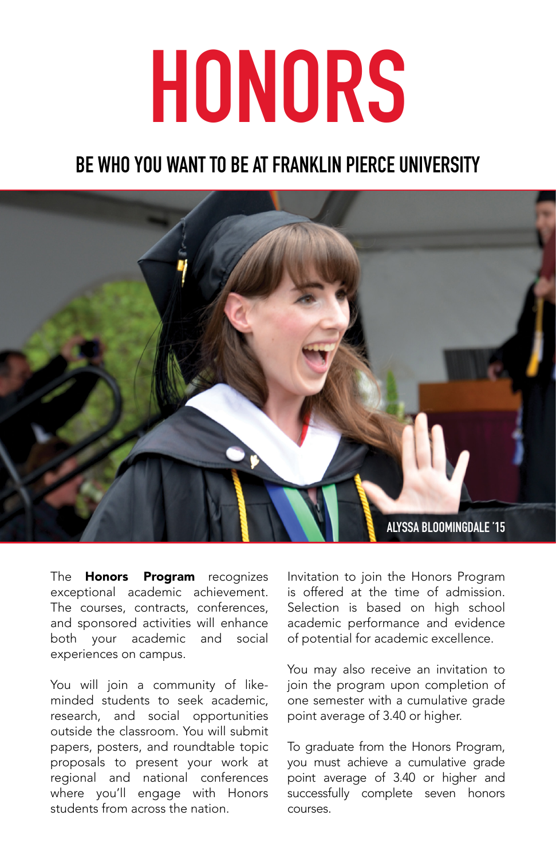## **HONORS**

## **BE WHO YOU WANT TO BE AT FRANKLIN PIERCE UNIVERSITY**



The **Honors Program** recognizes exceptional academic achievement. The courses, contracts, conferences, and sponsored activities will enhance both your academic and social experiences on campus.

You will join a community of likeminded students to seek academic, research, and social opportunities outside the classroom. You will submit papers, posters, and roundtable topic proposals to present your work at regional and national conferences where you'll engage with Honors students from across the nation.

Invitation to join the Honors Program is offered at the time of admission. Selection is based on high school academic performance and evidence of potential for academic excellence.

You may also receive an invitation to join the program upon completion of one semester with a cumulative grade point average of 3.40 or higher.

To graduate from the Honors Program, you must achieve a cumulative grade point average of 3.40 or higher and successfully complete seven honors courses.